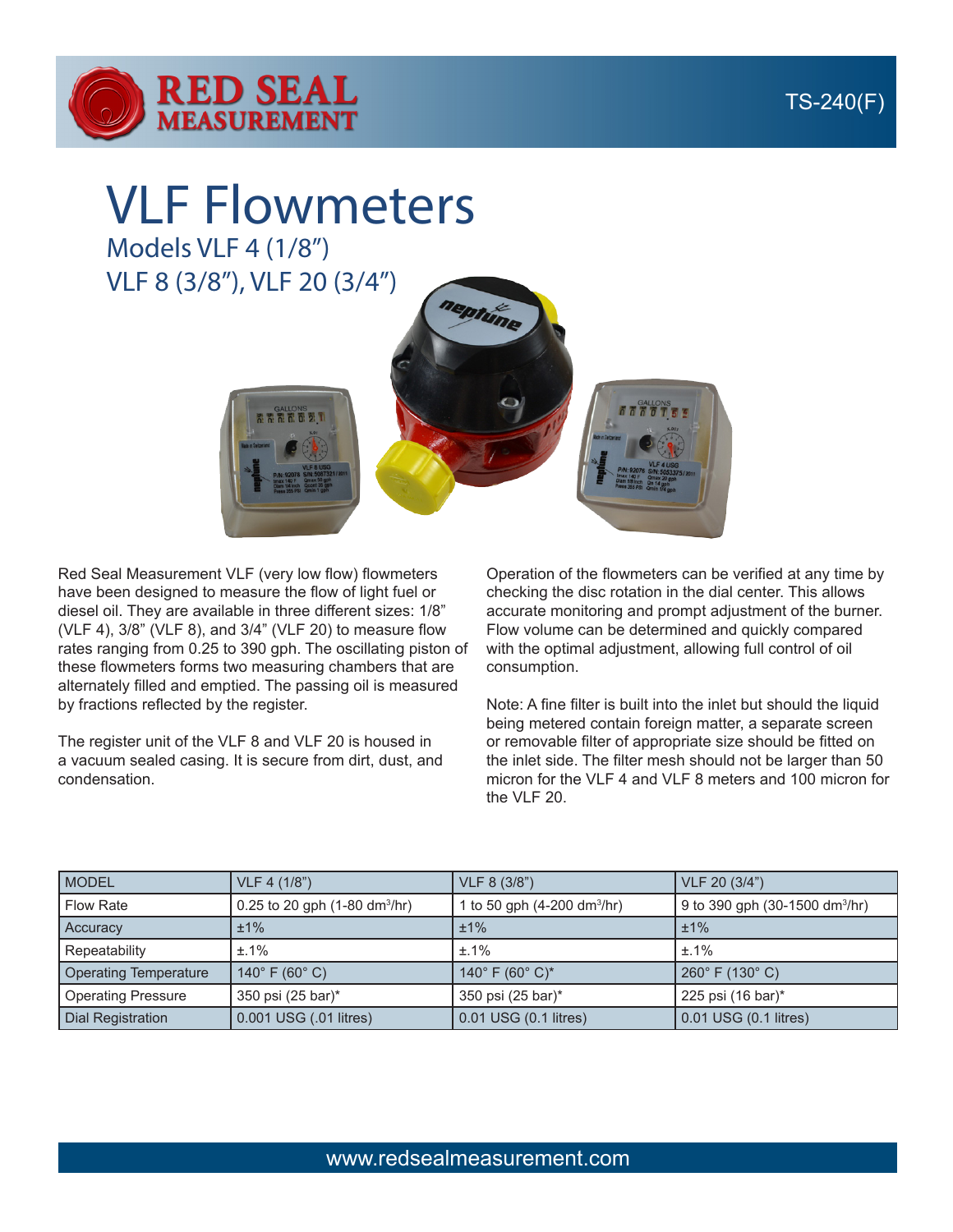



VLF Flowmeters Models VLF 4 (1/8")

VLF 8 (3/8"), VLF 20 (3/4")



Red Seal Measurement VLF (very low flow) flowmeters have been designed to measure the flow of light fuel or diesel oil. They are available in three different sizes: 1/8" (VLF 4), 3/8" (VLF 8), and 3/4" (VLF 20) to measure flow rates ranging from 0.25 to 390 gph. The oscillating piston of these flowmeters forms two measuring chambers that are alternately filled and emptied. The passing oil is measured by fractions reflected by the register.

The register unit of the VLF 8 and VLF 20 is housed in a vacuum sealed casing. It is secure from dirt, dust, and condensation.

Operation of the flowmeters can be verified at any time by checking the disc rotation in the dial center. This allows accurate monitoring and prompt adjustment of the burner. Flow volume can be determined and quickly compared with the optimal adjustment, allowing full control of oil consumption.

Note: A fine filter is built into the inlet but should the liquid being metered contain foreign matter, a separate screen or removable filter of appropriate size should be fitted on the inlet side. The filter mesh should not be larger than 50 micron for the VLF 4 and VLF 8 meters and 100 micron for the VLF 20.

| <b>MODEL</b>              | VLF 4 (1/8")                                   | VLF 8 (3/8")                            | VLF 20 (3/4")                              |
|---------------------------|------------------------------------------------|-----------------------------------------|--------------------------------------------|
| <b>Flow Rate</b>          | 0.25 to 20 gph $(1-80 \text{ dm}^3/\text{hr})$ | 1 to 50 gph (4-200 dm <sup>3</sup> /hr) | 9 to 390 gph (30-1500 dm <sup>3</sup> /hr) |
| <b>Accuracy</b>           | $±1\%$                                         | ±1%                                     | ±1%                                        |
| Repeatability             | $±.1\%$                                        | $±.1\%$                                 | $±.1\%$                                    |
| Operating Temperature     | 140 $^{\circ}$ F (60 $^{\circ}$ C)             | 140° F (60° C)*                         | $260^{\circ}$ F (130 $^{\circ}$ C)         |
| <b>Operating Pressure</b> | 350 psi (25 bar)*                              | 350 psi (25 bar)*                       | 225 psi (16 bar)*                          |
| Dial Registration         | 0.001 USG (.01 litres)                         | 0.01 USG (0.1 litres)                   | 0.01 USG (0.1 litres)                      |